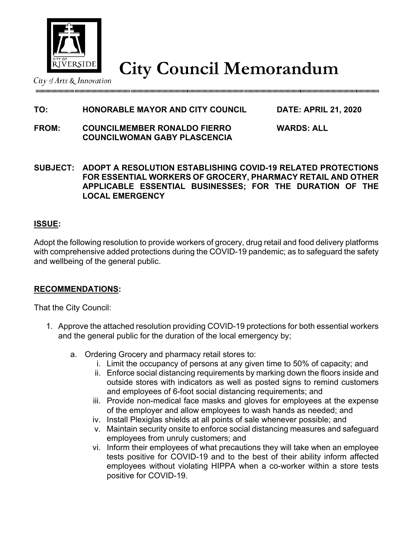

**ELIVERSIDE City Council Memorandum** 

# **TO: HONORABLE MAYOR AND CITY COUNCIL DATE: APRIL 21, 2020**

- **FROM: COUNCILMEMBER RONALDO FIERRO WARDS: ALL COUNCILWOMAN GABY PLASCENCIA**
- **SUBJECT: ADOPT A RESOLUTION ESTABLISHING COVID-19 RELATED PROTECTIONS FOR ESSENTIAL WORKERS OF GROCERY, PHARMACY RETAIL AND OTHER APPLICABLE ESSENTIAL BUSINESSES; FOR THE DURATION OF THE LOCAL EMERGENCY**

## **ISSUE:**

Adopt the following resolution to provide workers of grocery, drug retail and food delivery platforms with comprehensive added protections during the COVID-19 pandemic; as to safeguard the safety and wellbeing of the general public.

### **RECOMMENDATIONS:**

That the City Council:

- 1. Approve the attached resolution providing COVID-19 protections for both essential workers and the general public for the duration of the local emergency by;
	- a. Ordering Grocery and pharmacy retail stores to:
		- i. Limit the occupancy of persons at any given time to 50% of capacity; and
		- ii. Enforce social distancing requirements by marking down the floors inside and outside stores with indicators as well as posted signs to remind customers and employees of 6-foot social distancing requirements; and
		- iii. Provide non-medical face masks and gloves for employees at the expense of the employer and allow employees to wash hands as needed; and
		- iv. Install Plexiglas shields at all points of sale whenever possible; and
		- v. Maintain security onsite to enforce social distancing measures and safeguard employees from unruly customers; and
		- vi. Inform their employees of what precautions they will take when an employee tests positive for COVID-19 and to the best of their ability inform affected employees without violating HIPPA when a co-worker within a store tests positive for COVID-19.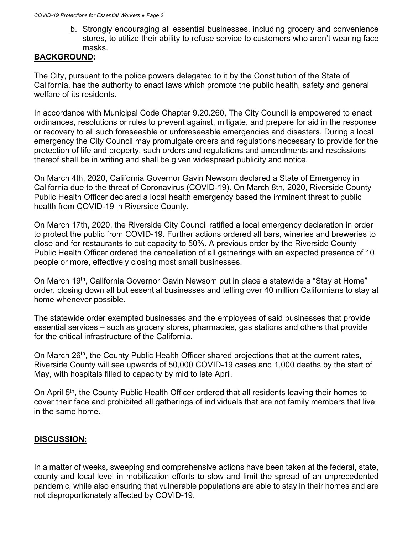b. Strongly encouraging all essential businesses, including grocery and convenience stores, to utilize their ability to refuse service to customers who aren't wearing face masks.

## **BACKGROUND:**

The City, pursuant to the police powers delegated to it by the Constitution of the State of California, has the authority to enact laws which promote the public health, safety and general welfare of its residents.

In accordance with Municipal Code Chapter 9.20.260, The City Council is empowered to enact ordinances, resolutions or rules to prevent against, mitigate, and prepare for aid in the response or recovery to all such foreseeable or unforeseeable emergencies and disasters. During a local emergency the City Council may promulgate orders and regulations necessary to provide for the protection of life and property, such orders and regulations and amendments and rescissions thereof shall be in writing and shall be given widespread publicity and notice.

On March 4th, 2020, California Governor Gavin Newsom declared a State of Emergency in California due to the threat of Coronavirus (COVID-19). On March 8th, 2020, Riverside County Public Health Officer declared a local health emergency based the imminent threat to public health from COVID-19 in Riverside County.

On March 17th, 2020, the Riverside City Council ratified a local emergency declaration in order to protect the public from COVID-19. Further actions ordered all bars, wineries and breweries to close and for restaurants to cut capacity to 50%. A previous order by the Riverside County Public Health Officer ordered the cancellation of all gatherings with an expected presence of 10 people or more, effectively closing most small businesses.

On March 19<sup>th</sup>, California Governor Gavin Newsom put in place a statewide a "Stay at Home" order, closing down all but essential businesses and telling over 40 million Californians to stay at home whenever possible.

The statewide order exempted businesses and the employees of said businesses that provide essential services – such as grocery stores, pharmacies, gas stations and others that provide for the critical infrastructure of the California.

On March 26<sup>th</sup>, the County Public Health Officer shared projections that at the current rates, Riverside County will see upwards of 50,000 COVID-19 cases and 1,000 deaths by the start of May, with hospitals filled to capacity by mid to late April.

On April 5<sup>th</sup>, the County Public Health Officer ordered that all residents leaving their homes to cover their face and prohibited all gatherings of individuals that are not family members that live in the same home.

# **DISCUSSION:**

In a matter of weeks, sweeping and comprehensive actions have been taken at the federal, state, county and local level in mobilization efforts to slow and limit the spread of an unprecedented pandemic, while also ensuring that vulnerable populations are able to stay in their homes and are not disproportionately affected by COVID-19.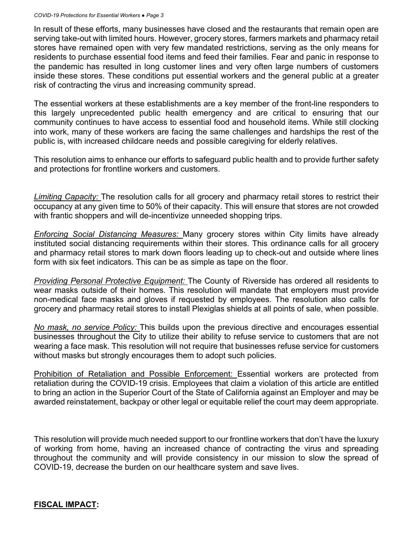#### *COVID-19 Protections for Essential Workers ● Page 3*

In result of these efforts, many businesses have closed and the restaurants that remain open are serving take-out with limited hours. However, grocery stores, farmers markets and pharmacy retail stores have remained open with very few mandated restrictions, serving as the only means for residents to purchase essential food items and feed their families. Fear and panic in response to the pandemic has resulted in long customer lines and very often large numbers of customers inside these stores. These conditions put essential workers and the general public at a greater risk of contracting the virus and increasing community spread.

The essential workers at these establishments are a key member of the front-line responders to this largely unprecedented public health emergency and are critical to ensuring that our community continues to have access to essential food and household items. While still clocking into work, many of these workers are facing the same challenges and hardships the rest of the public is, with increased childcare needs and possible caregiving for elderly relatives.

This resolution aims to enhance our efforts to safeguard public health and to provide further safety and protections for frontline workers and customers.

*Limiting Capacity:* The resolution calls for all grocery and pharmacy retail stores to restrict their occupancy at any given time to 50% of their capacity. This will ensure that stores are not crowded with frantic shoppers and will de-incentivize unneeded shopping trips.

*Enforcing Social Distancing Measures:* Many grocery stores within City limits have already instituted social distancing requirements within their stores. This ordinance calls for all grocery and pharmacy retail stores to mark down floors leading up to check-out and outside where lines form with six feet indicators. This can be as simple as tape on the floor.

*Providing Personal Protective Equipment:* The County of Riverside has ordered all residents to wear masks outside of their homes. This resolution will mandate that employers must provide non-medical face masks and gloves if requested by employees. The resolution also calls for grocery and pharmacy retail stores to install Plexiglas shields at all points of sale, when possible.

*No mask, no service Policy:* This builds upon the previous directive and encourages essential businesses throughout the City to utilize their ability to refuse service to customers that are not wearing a face mask. This resolution will not require that businesses refuse service for customers without masks but strongly encourages them to adopt such policies.

Prohibition of Retaliation and Possible Enforcement: Essential workers are protected from retaliation during the COVID-19 crisis. Employees that claim a violation of this article are entitled to bring an action in the Superior Court of the State of California against an Employer and may be awarded reinstatement, backpay or other legal or equitable relief the court may deem appropriate.

This resolution will provide much needed support to our frontline workers that don't have the luxury of working from home, having an increased chance of contracting the virus and spreading throughout the community and will provide consistency in our mission to slow the spread of COVID-19, decrease the burden on our healthcare system and save lives.

### **FISCAL IMPACT:**